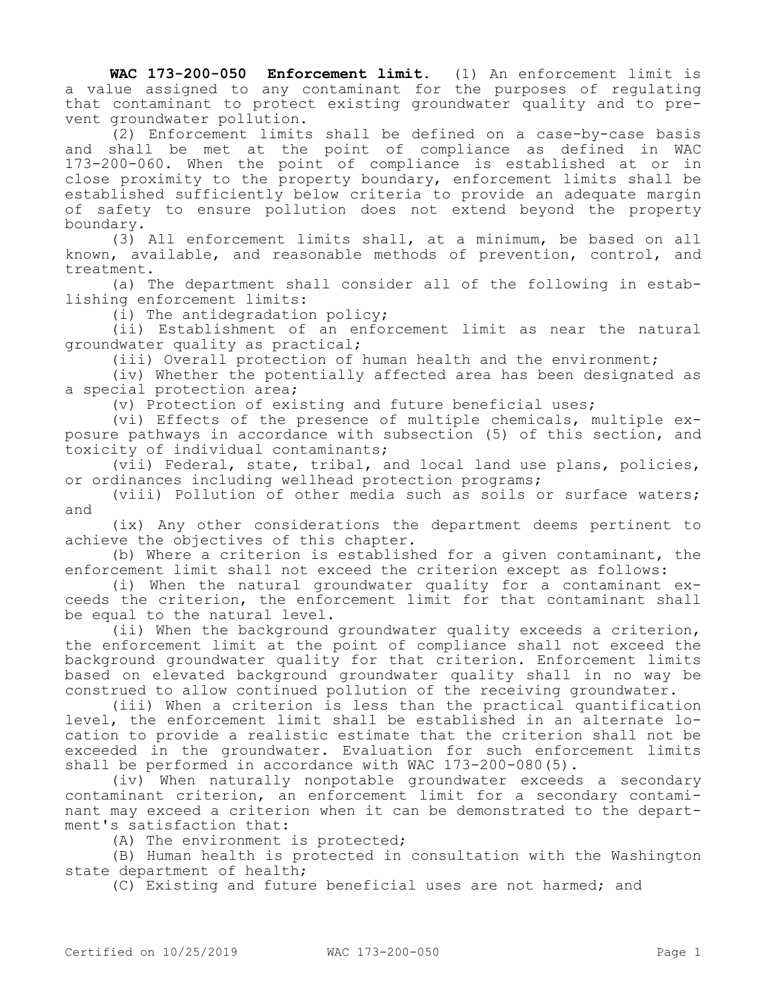**WAC 173-200-050 Enforcement limit.** (1) An enforcement limit is a value assigned to any contaminant for the purposes of regulating that contaminant to protect existing groundwater quality and to prevent groundwater pollution.

(2) Enforcement limits shall be defined on a case-by-case basis and shall be met at the point of compliance as defined in WAC 173-200-060. When the point of compliance is established at or in close proximity to the property boundary, enforcement limits shall be established sufficiently below criteria to provide an adequate margin of safety to ensure pollution does not extend beyond the property boundary.

(3) All enforcement limits shall, at a minimum, be based on all known, available, and reasonable methods of prevention, control, and treatment.

(a) The department shall consider all of the following in establishing enforcement limits:

(i) The antidegradation policy;

(ii) Establishment of an enforcement limit as near the natural groundwater quality as practical;

(iii) Overall protection of human health and the environment;

(iv) Whether the potentially affected area has been designated as a special protection area;

(v) Protection of existing and future beneficial uses;

(vi) Effects of the presence of multiple chemicals, multiple exposure pathways in accordance with subsection (5) of this section, and toxicity of individual contaminants;

(vii) Federal, state, tribal, and local land use plans, policies, or ordinances including wellhead protection programs;

(viii) Pollution of other media such as soils or surface waters; and

(ix) Any other considerations the department deems pertinent to achieve the objectives of this chapter.

(b) Where a criterion is established for a given contaminant, the enforcement limit shall not exceed the criterion except as follows:

(i) When the natural groundwater quality for a contaminant exceeds the criterion, the enforcement limit for that contaminant shall be equal to the natural level.

(ii) When the background groundwater quality exceeds a criterion, the enforcement limit at the point of compliance shall not exceed the background groundwater quality for that criterion. Enforcement limits based on elevated background groundwater quality shall in no way be construed to allow continued pollution of the receiving groundwater.

(iii) When a criterion is less than the practical quantification level, the enforcement limit shall be established in an alternate location to provide a realistic estimate that the criterion shall not be exceeded in the groundwater. Evaluation for such enforcement limits shall be performed in accordance with WAC 173-200-080(5).

(iv) When naturally nonpotable groundwater exceeds a secondary contaminant criterion, an enforcement limit for a secondary contaminant may exceed a criterion when it can be demonstrated to the department's satisfaction that:

(A) The environment is protected;

(B) Human health is protected in consultation with the Washington state department of health;

(C) Existing and future beneficial uses are not harmed; and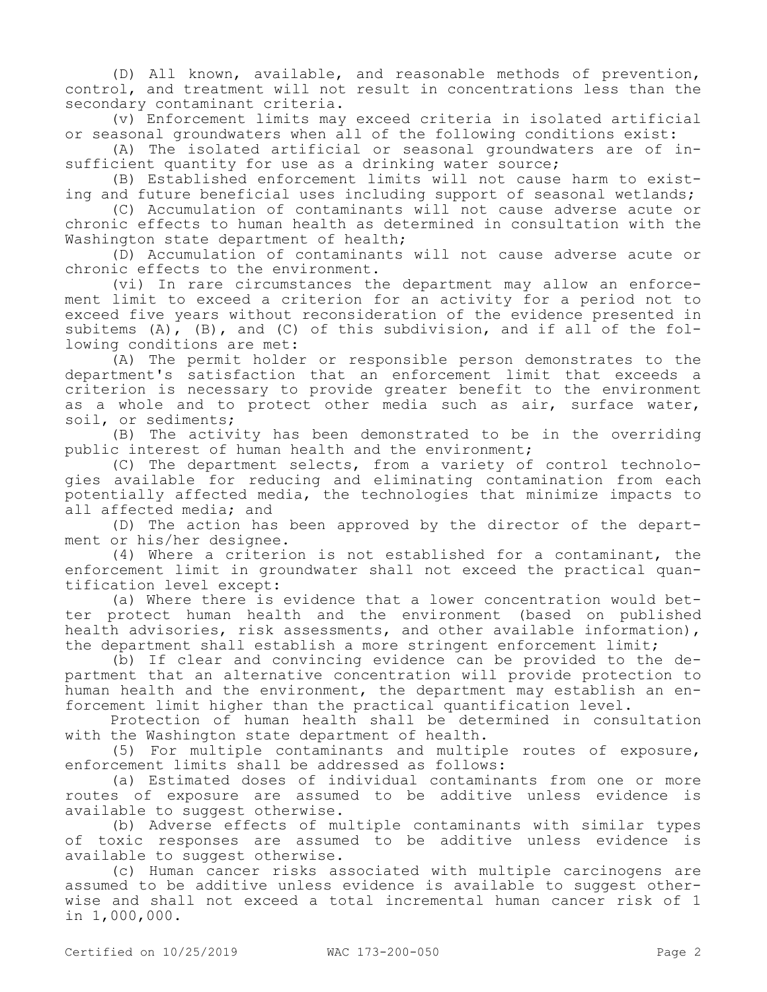(D) All known, available, and reasonable methods of prevention, control, and treatment will not result in concentrations less than the secondary contaminant criteria.

(v) Enforcement limits may exceed criteria in isolated artificial or seasonal groundwaters when all of the following conditions exist:

(A) The isolated artificial or seasonal groundwaters are of insufficient quantity for use as a drinking water source;

(B) Established enforcement limits will not cause harm to existing and future beneficial uses including support of seasonal wetlands;

(C) Accumulation of contaminants will not cause adverse acute or chronic effects to human health as determined in consultation with the Washington state department of health;

(D) Accumulation of contaminants will not cause adverse acute or chronic effects to the environment.

(vi) In rare circumstances the department may allow an enforcement limit to exceed a criterion for an activity for a period not to exceed five years without reconsideration of the evidence presented in subitems (A), (B), and (C) of this subdivision, and if all of the following conditions are met:

(A) The permit holder or responsible person demonstrates to the department's satisfaction that an enforcement limit that exceeds a criterion is necessary to provide greater benefit to the environment as a whole and to protect other media such as air, surface water, soil, or sediments;

(B) The activity has been demonstrated to be in the overriding public interest of human health and the environment;

(C) The department selects, from a variety of control technologies available for reducing and eliminating contamination from each potentially affected media, the technologies that minimize impacts to all affected media; and

(D) The action has been approved by the director of the department or his/her designee.

(4) Where a criterion is not established for a contaminant, the enforcement limit in groundwater shall not exceed the practical quantification level except:

(a) Where there is evidence that a lower concentration would better protect human health and the environment (based on published health advisories, risk assessments, and other available information), the department shall establish a more stringent enforcement limit;

(b) If clear and convincing evidence can be provided to the department that an alternative concentration will provide protection to human health and the environment, the department may establish an enforcement limit higher than the practical quantification level.

Protection of human health shall be determined in consultation with the Washington state department of health.

(5) For multiple contaminants and multiple routes of exposure, enforcement limits shall be addressed as follows:

(a) Estimated doses of individual contaminants from one or more routes of exposure are assumed to be additive unless evidence is available to suggest otherwise.

(b) Adverse effects of multiple contaminants with similar types of toxic responses are assumed to be additive unless evidence is available to suggest otherwise.

(c) Human cancer risks associated with multiple carcinogens are assumed to be additive unless evidence is available to suggest otherwise and shall not exceed a total incremental human cancer risk of 1 in 1,000,000.